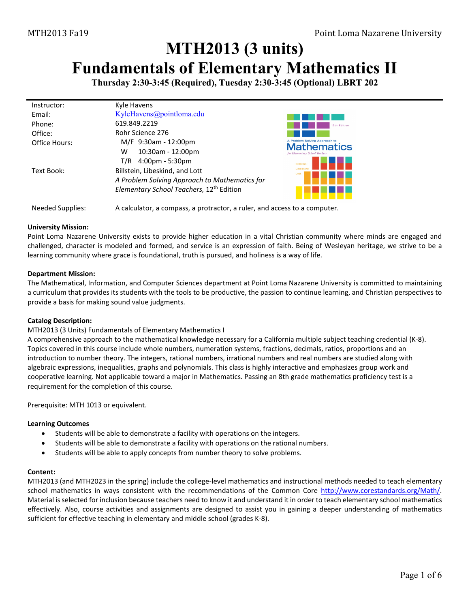# **MTH2013 (3 units)**

## **Fundamentals of Elementary Mathematics II**

**Thursday 2:30-3:45 (Required), Tuesday 2:30-3:45 (Optional) LBRT 202**

| Instructor:   | Kyle Havens                                          |                                                     |
|---------------|------------------------------------------------------|-----------------------------------------------------|
| Email:        | KyleHavens@pointloma.edu                             |                                                     |
| Phone:        | 619.849.2219                                         | 12th Edition                                        |
| Office:       | Rohr Science 276                                     |                                                     |
| Office Hours: | M/F 9:30am - 12:00pm                                 | A Problem Solving Approach to<br><b>Mathematics</b> |
|               | 10:30am - 12:00pm<br>w                               | for Elementary School Teachers                      |
|               | $4:00 \text{pm} - 5:30 \text{pm}$<br>T/R             | <b>Billstein</b>                                    |
| Text Book:    | Billstein, Libeskind, and Lott                       | Lott                                                |
|               | A Problem Solving Approach to Mathematics for        |                                                     |
|               | Elementary School Teachers, 12 <sup>th</sup> Edition |                                                     |
|               |                                                      |                                                     |
|               |                                                      |                                                     |

#### Needed Supplies: A calculator, a compass, a protractor, a ruler, and access to a computer.

#### **University Mission:**

Point Loma Nazarene University exists to provide higher education in a vital Christian community where minds are engaged and challenged, character is modeled and formed, and service is an expression of faith. Being of Wesleyan heritage, we strive to be a learning community where grace is foundational, truth is pursued, and holiness is a way of life.

#### **Department Mission:**

The Mathematical, Information, and Computer Sciences department at Point Loma Nazarene University is committed to maintaining a curriculum that provides its students with the tools to be productive, the passion to continue learning, and Christian perspectives to provide a basis for making sound value judgments.

#### **Catalog Description:**

#### MTH2013 (3 Units) Fundamentals of Elementary Mathematics I

A comprehensive approach to the mathematical knowledge necessary for a California multiple subject teaching credential (K-8). Topics covered in this course include whole numbers, numeration systems, fractions, decimals, ratios, proportions and an introduction to number theory. The integers, rational numbers, irrational numbers and real numbers are studied along with algebraic expressions, inequalities, graphs and polynomials. This class is highly interactive and emphasizes group work and cooperative learning. Not applicable toward a major in Mathematics. Passing an 8th grade mathematics proficiency test is a requirement for the completion of this course.

Prerequisite: [MTH 1013](https://catalog.pointloma.edu/content.php?filter%5B27%5D=MTH&filter%5B29%5D=2013&filter%5Bcourse_type%5D=-1&filter%5Bkeyword%5D=&filter%5B32%5D=1&filter%5Bcpage%5D=1&cur_cat_oid=41&expand=&navoid=2443&search_database=Filter#tt4114) or equivalent.

#### **Learning Outcomes**

- Students will be able to demonstrate a facility with operations on the integers.
- Students will be able to demonstrate a facility with operations on the rational numbers.
- Students will be able to apply concepts from number theory to solve problems.

#### **Content:**

MTH2013 (and MTH2023 in the spring) include the college-level mathematics and instructional methods needed to teach elementary school mathematics in ways consistent with the recommendations of the Common Core http://www.corestandards.org/Math/. Material is selected for inclusion because teachers need to know it and understand it in order to teach elementary school mathematics effectively. Also, course activities and assignments are designed to assist you in gaining a deeper understanding of mathematics sufficient for effective teaching in elementary and middle school (grades K-8).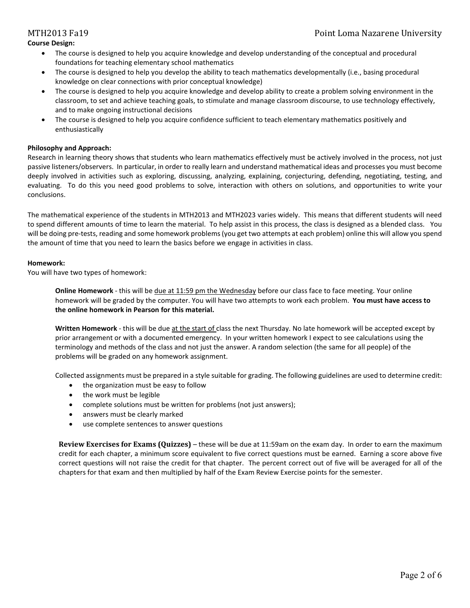- The course is designed to help you acquire knowledge and develop understanding of the conceptual and procedural foundations for teaching elementary school mathematics
- The course is designed to help you develop the ability to teach mathematics developmentally (i.e., basing procedural knowledge on clear connections with prior conceptual knowledge)
- The course is designed to help you acquire knowledge and develop ability to create a problem solving environment in the classroom, to set and achieve teaching goals, to stimulate and manage classroom discourse, to use technology effectively, and to make ongoing instructional decisions
- The course is designed to help you acquire confidence sufficient to teach elementary mathematics positively and enthusiastically

#### **Philosophy and Approach:**

Research in learning theory shows that students who learn mathematics effectively must be actively involved in the process, not just passive listeners/observers. In particular, in order to really learn and understand mathematical ideas and processes you must become deeply involved in activities such as exploring, discussing, analyzing, explaining, conjecturing, defending, negotiating, testing, and evaluating. To do this you need good problems to solve, interaction with others on solutions, and opportunities to write your conclusions.

The mathematical experience of the students in MTH2013 and MTH2023 varies widely. This means that different students will need to spend different amounts of time to learn the material. To help assist in this process, the class is designed as a blended class. You will be doing pre-tests, reading and some homework problems (you get two attempts at each problem) online this will allow you spend the amount of time that you need to learn the basics before we engage in activities in class.

#### **Homework:**

You will have two types of homework:

**Online Homework** - this will be due at 11:59 pm the Wednesday before our class face to face meeting. Your online homework will be graded by the computer. You will have two attempts to work each problem. **You must have access to the online homework in Pearson for this material.**

**Written Homework** - this will be due at the start of class the next Thursday. No late homework will be accepted except by prior arrangement or with a documented emergency. In your written homework I expect to see calculations using the terminology and methods of the class and not just the answer. A random selection (the same for all people) of the problems will be graded on any homework assignment.

Collected assignments must be prepared in a style suitable for grading. The following guidelines are used to determine credit:

- the organization must be easy to follow
- the work must be legible
- complete solutions must be written for problems (not just answers);
- answers must be clearly marked
- use complete sentences to answer questions

**Review Exercises for Exams (Quizzes)** – these will be due at 11:59am on the exam day. In order to earn the maximum credit for each chapter, a minimum score equivalent to five correct questions must be earned. Earning a score above five correct questions will not raise the credit for that chapter. The percent correct out of five will be averaged for all of the chapters for that exam and then multiplied by half of the Exam Review Exercise points for the semester.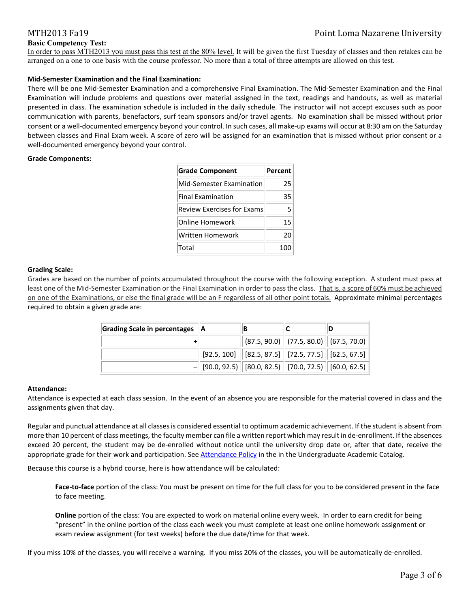#### **Basic Competency Test:**

In order to pass MTH2013 you must pass this test at the 80% level. It will be given the first Tuesday of classes and then retakes can be arranged on a one to one basis with the course professor. No more than a total of three attempts are allowed on this test.

#### **Mid-Semester Examination and the Final Examination:**

There will be one Mid-Semester Examination and a comprehensive Final Examination. The Mid-Semester Examination and the Final Examination will include problems and questions over material assigned in the text, readings and handouts, as well as material presented in class. The examination schedule is included in the daily schedule. The instructor will not accept excuses such as poor communication with parents, benefactors, surf team sponsors and/or travel agents. No examination shall be missed without prior consent or a well-documented emergency beyond your control. In such cases, all make-up exams will occur at 8:30 am on the Saturday between classes and Final Exam week. A score of zero will be assigned for an examination that is missed without prior consent or a well-documented emergency beyond your control.

#### **Grade Components:**

| <b>Grade Component</b>            | Percent |
|-----------------------------------|---------|
| Mid-Semester Examination          | 25      |
| <b>Final Examination</b>          | 35      |
| <b>Review Exercises for Exams</b> | 5       |
| <b>Online Homework</b>            | 15      |
| Written Homework                  | 20      |
| Total                             | 100     |

#### **Grading Scale:**

Grades are based on the number of points accumulated throughout the course with the following exception. A student must pass at least one of the Mid-Semester Examination or the Final Examination in order to pass the class. That is, a score of 60% must be achieved on one of the Examinations, or else the final grade will be an F regardless of all other point totals. Approximate minimal percentages required to obtain a given grade are:

| Grading Scale in percentages   A | ΙB |                                                                                       |  |
|----------------------------------|----|---------------------------------------------------------------------------------------|--|
|                                  |    | $\vert$ (87.5, 90.0) $\vert$ (77.5, 80.0) $\vert$ (67.5, 70.0) $\vert$                |  |
|                                  |    | $\mid$ [92.5, 100] $\mid$ [82.5, 87.5] $\mid$ [72.5, 77.5] $\mid$ [62.5, 67.5] $\mid$ |  |
|                                  |    | $-$ [90.0, 92.5) [80.0, 82.5) [70.0, 72.5) [60.0, 62.5)]                              |  |

#### **Attendance:**

Attendance is expected at each class session. In the event of an absence you are responsible for the material covered in class and the assignments given that day.

Regular and punctual attendance at all classes is considered essential to optimum academic achievement. If the student is absent from more than 10 percent of class meetings, the faculty member can file a written report which may result in de-enrollment. If the absences exceed 20 percent, the student may be de-enrolled without notice until the university drop date or, after that date, receive the appropriate grade for their work and participation. Se[e Attendance Policy](https://catalog.pointloma.edu/content.php?catoid=28&navoid=1761#Class_Attendance) in the in the Undergraduate Academic Catalog.

Because this course is a hybrid course, here is how attendance will be calculated:

**Face-to-face** portion of the class: You must be present on time for the full class for you to be considered present in the face to face meeting.

**Online** portion of the class: You are expected to work on material online every week. In order to earn credit for being "present" in the online portion of the class each week you must complete at least one online homework assignment or exam review assignment (for test weeks) before the due date/time for that week.

If you miss 10% of the classes, you will receive a warning. If you miss 20% of the classes, you will be automatically de-enrolled.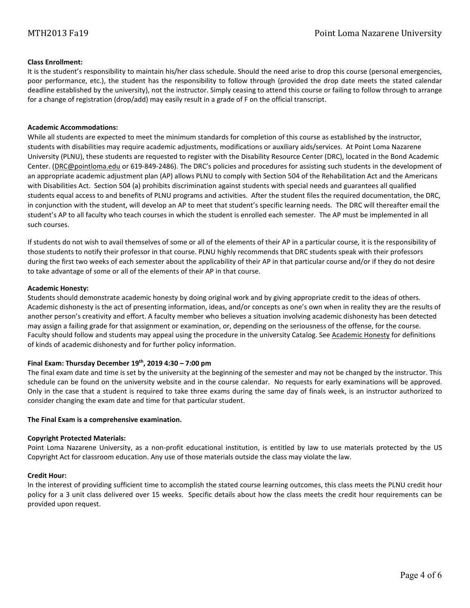#### **Class Enrollment:**

It is the student's responsibility to maintain his/her class schedule. Should the need arise to drop this course (personal emergencies, poor performance, etc.), the student has the responsibility to follow through (provided the drop date meets the stated calendar deadline established by the university), not the instructor. Simply ceasing to attend this course or failing to follow through to arrange for a change of registration (drop/add) may easily result in a grade of F on the official transcript.

#### **Academic Accommodations:**

While all students are expected to meet the minimum standards for completion of this course as established by the instructor, students with disabilities may require academic adjustments, modifications or auxiliary aids/services. At Point Loma Nazarene University (PLNU), these students are requested to register with the Disability Resource Center (DRC), located in the Bond Academic Center. [\(DRC@pointloma.edu](mailto:DRC@pointloma.edu) or 619-849-2486). The DRC's policies and procedures for assisting such students in the development of an appropriate academic adjustment plan (AP) allows PLNU to comply with Section 504 of the Rehabilitation Act and the Americans with Disabilities Act. Section 504 (a) prohibits discrimination against students with special needs and guarantees all qualified students equal access to and benefits of PLNU programs and activities. After the student files the required documentation, the DRC, in conjunction with the student, will develop an AP to meet that student's specific learning needs. The DRC will thereafter email the student's AP to all faculty who teach courses in which the student is enrolled each semester. The AP must be implemented in all such courses.

If students do not wish to avail themselves of some or all of the elements of their AP in a particular course, it is the responsibility of those students to notify their professor in that course. PLNU highly recommends that DRC students speak with their professors during the first two weeks of each semester about the applicability of their AP in that particular course and/or if they do not desire to take advantage of some or all of the elements of their AP in that course.

#### **Academic Honesty:**

Students should demonstrate academic honesty by doing original work and by giving appropriate credit to the ideas of others. Academic dishonesty is the act of presenting information, ideas, and/or concepts as one's own when in reality they are the results of another person's creativity and effort. A faculty member who believes a situation involving academic dishonesty has been detected may assign a failing grade for that assignment or examination, or, depending on the seriousness of the offense, for the course. Faculty should follow and students may appeal using the procedure in the university Catalog. Se[e Academic Honesty](https://catalog.pointloma.edu/content.php?catoid=35&navoid=2136#Academic_Honesty) for definitions of kinds of academic dishonesty and for further policy information.

#### **Final Exam: Thursday December 19th, 2019 4:30 – 7:00 pm**

The final exam date and time is set by the university at the beginning of the semester and may not be changed by the instructor. This schedule can be found on the university website and in the course calendar. No requests for early examinations will be approved. Only in the case that a student is required to take three exams during the same day of finals week, is an instructor authorized to consider changing the exam date and time for that particular student.

#### **The Final Exam is a comprehensive examination.**

#### **Copyright Protected Materials:**

Point Loma Nazarene University, as a non-profit educational institution, is entitled by law to use materials protected by the US Copyright Act for classroom education. Any use of those materials outside the class may violate the law.

#### **Credit Hour:**

In the interest of providing sufficient time to accomplish the stated course learning outcomes, this class meets the PLNU credit hour policy for a 3 unit class delivered over 15 weeks. Specific details about how the class meets the credit hour requirements can be provided upon request.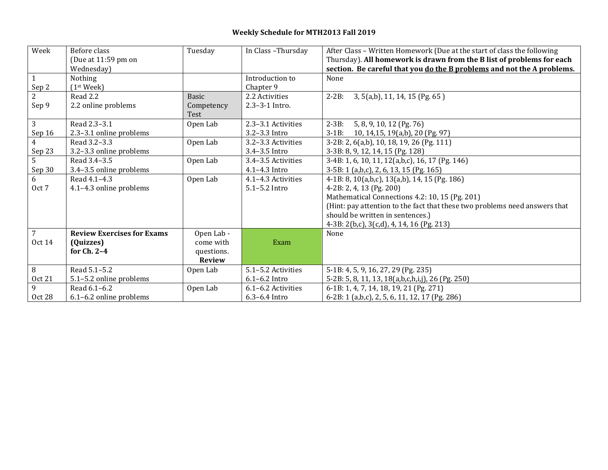## **Weekly Schedule for MTH2013 Fall 2019**

| Week           | Before class                      | Tuesday       | In Class-Thursday  | After Class - Written Homework (Due at the start of class the following    |
|----------------|-----------------------------------|---------------|--------------------|----------------------------------------------------------------------------|
|                | (Due at 11:59 pm on               |               |                    | Thursday). All homework is drawn from the B list of problems for each      |
|                | Wednesday)                        |               |                    | section. Be careful that you do the B problems and not the A problems.     |
|                | Nothing                           |               | Introduction to    | None                                                                       |
| Sep 2          | (1 <sup>st</sup> Week)            |               | Chapter 9          |                                                                            |
| 2              | Read 2.2                          | <b>Basic</b>  | 2.2 Activities     | $2 - 2B$ :<br>3, 5(a,b), 11, 14, 15 (Pg. 65)                               |
| Sep 9          | 2.2 online problems               | Competency    | 2.3-3-1 Intro.     |                                                                            |
|                |                                   | Test          |                    |                                                                            |
| 3              | Read 2.3-3.1                      | Open Lab      | 2.3-3.1 Activities | $2 - 3B$ :<br>5, 8, 9, 10, 12 (Pg. 76)                                     |
| Sep 16         | 2.3-3.1 online problems           |               | 3.2-3.3 Intro      | 3-1B: 10, 14, 15, 19(a,b), 20 (Pg. 97)                                     |
| $\overline{4}$ | Read 3.2-3.3                      | Open Lab      | 3.2-3.3 Activities | 3-2B: 2, 6(a,b), 10, 18, 19, 26 (Pg. 111)                                  |
| Sep 23         | 3.2-3.3 online problems           |               | 3.4-3.5 Intro      | 3-3B: 8, 9, 12, 14, 15 (Pg. 128)                                           |
| 5              | Read 3.4-3.5                      | Open Lab      | 3.4-3.5 Activities | 3-4B: 1, 6, 10, 11, 12(a,b,c), 16, 17 (Pg. 146)                            |
| Sep 30         | 3.4-3.5 online problems           |               | 4.1-4.3 Intro      | 3-5B: 1 (a,b,c), 2, 6, 13, 15 (Pg. 165)                                    |
| 6              | Read 4.1-4.3                      | Open Lab      | 4.1-4.3 Activities | 4-1B: 8, 10(a,b,c), 13(a,b), 14, 15 (Pg. 186)                              |
| Oct 7          | 4.1-4.3 online problems           |               | $5.1 - 5.2$ Intro  | 4-2B: 2, 4, 13 (Pg. 200)                                                   |
|                |                                   |               |                    | Mathematical Connections 4.2: 10, 15 (Pg. 201)                             |
|                |                                   |               |                    | (Hint: pay attention to the fact that these two problems need answers that |
|                |                                   |               |                    | should be written in sentences.)                                           |
|                |                                   |               |                    | 4-3B: 2(b,c), 3(c,d), 4, 14, 16 (Pg. 213)                                  |
| $\overline{7}$ | <b>Review Exercises for Exams</b> | Open Lab -    |                    | None                                                                       |
| <b>Oct 14</b>  | (Quizzes)                         | come with     | Exam               |                                                                            |
|                | for $Ch. 2-4$                     | questions.    |                    |                                                                            |
|                |                                   | <b>Review</b> |                    |                                                                            |
| 8              | Read 5.1-5.2                      | Open Lab      | 5.1-5.2 Activities | 5-1B: 4, 5, 9, 16, 27, 29 (Pg. 235)                                        |
| <b>Oct 21</b>  | 5.1-5.2 online problems           |               | $6.1 - 6.2$ Intro  | 5-2B: 5, 8, 11, 13, 18(a,b,c,h,i,j), 26 (Pg. 250)                          |
| 9              | Read 6.1-6.2                      | Open Lab      | 6.1-6.2 Activities | 6-1B: 1, 4, 7, 14, 18, 19, 21 (Pg. 271)                                    |
| Oct 28         | 6.1-6.2 online problems           |               | $6.3 - 6.4$ Intro  | 6-2B: 1 (a,b,c), 2, 5, 6, 11, 12, 17 (Pg. 286)                             |